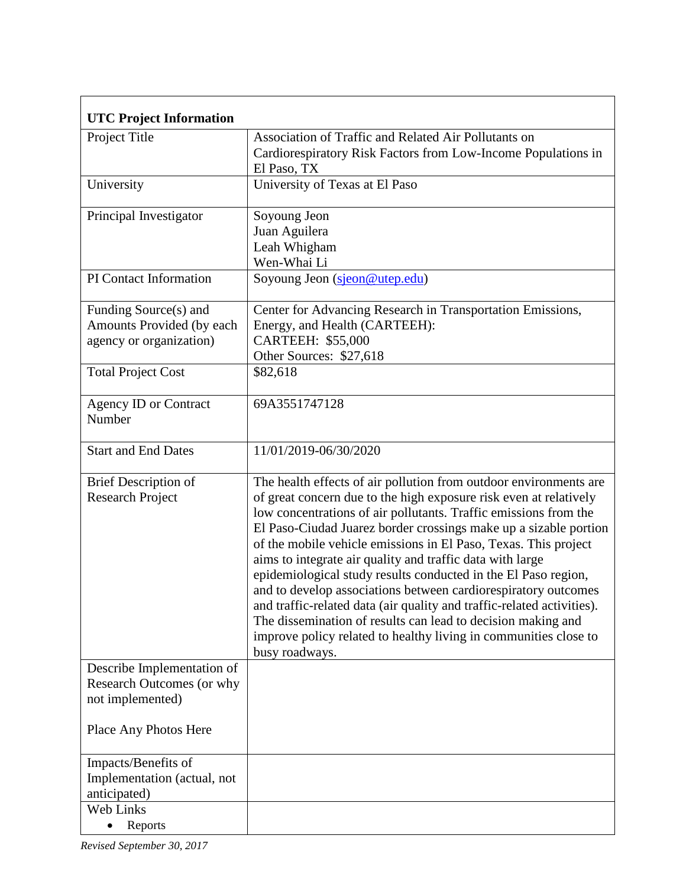| <b>UTC Project Information</b>                                                         |                                                                                                                                                                                                                                                                                                                                                                                                                                                                                                                                                                                                                                                                                                                                                                                    |
|----------------------------------------------------------------------------------------|------------------------------------------------------------------------------------------------------------------------------------------------------------------------------------------------------------------------------------------------------------------------------------------------------------------------------------------------------------------------------------------------------------------------------------------------------------------------------------------------------------------------------------------------------------------------------------------------------------------------------------------------------------------------------------------------------------------------------------------------------------------------------------|
| Project Title                                                                          | Association of Traffic and Related Air Pollutants on<br>Cardiorespiratory Risk Factors from Low-Income Populations in<br>El Paso, TX                                                                                                                                                                                                                                                                                                                                                                                                                                                                                                                                                                                                                                               |
| University                                                                             | University of Texas at El Paso                                                                                                                                                                                                                                                                                                                                                                                                                                                                                                                                                                                                                                                                                                                                                     |
| Principal Investigator                                                                 | Soyoung Jeon<br>Juan Aguilera<br>Leah Whigham<br>Wen-Whai Li                                                                                                                                                                                                                                                                                                                                                                                                                                                                                                                                                                                                                                                                                                                       |
| PI Contact Information                                                                 | Soyoung Jeon (sjeon@utep.edu)                                                                                                                                                                                                                                                                                                                                                                                                                                                                                                                                                                                                                                                                                                                                                      |
| Funding Source(s) and<br>Amounts Provided (by each<br>agency or organization)          | Center for Advancing Research in Transportation Emissions,<br>Energy, and Health (CARTEEH):<br><b>CARTEEH: \$55,000</b><br>Other Sources: \$27,618                                                                                                                                                                                                                                                                                                                                                                                                                                                                                                                                                                                                                                 |
| <b>Total Project Cost</b>                                                              | \$82,618                                                                                                                                                                                                                                                                                                                                                                                                                                                                                                                                                                                                                                                                                                                                                                           |
| <b>Agency ID or Contract</b><br>Number                                                 | 69A3551747128                                                                                                                                                                                                                                                                                                                                                                                                                                                                                                                                                                                                                                                                                                                                                                      |
| <b>Start and End Dates</b>                                                             | 11/01/2019-06/30/2020                                                                                                                                                                                                                                                                                                                                                                                                                                                                                                                                                                                                                                                                                                                                                              |
| <b>Brief Description of</b><br><b>Research Project</b>                                 | The health effects of air pollution from outdoor environments are<br>of great concern due to the high exposure risk even at relatively<br>low concentrations of air pollutants. Traffic emissions from the<br>El Paso-Ciudad Juarez border crossings make up a sizable portion<br>of the mobile vehicle emissions in El Paso, Texas. This project<br>aims to integrate air quality and traffic data with large<br>epidemiological study results conducted in the El Paso region,<br>and to develop associations between cardiorespiratory outcomes<br>and traffic-related data (air quality and traffic-related activities).<br>The dissemination of results can lead to decision making and<br>improve policy related to healthy living in communities close to<br>busy roadways. |
| Describe Implementation of<br><b>Research Outcomes (or why</b><br>not implemented)     |                                                                                                                                                                                                                                                                                                                                                                                                                                                                                                                                                                                                                                                                                                                                                                                    |
| Place Any Photos Here                                                                  |                                                                                                                                                                                                                                                                                                                                                                                                                                                                                                                                                                                                                                                                                                                                                                                    |
| Impacts/Benefits of<br>Implementation (actual, not<br>anticipated)<br><b>Web Links</b> |                                                                                                                                                                                                                                                                                                                                                                                                                                                                                                                                                                                                                                                                                                                                                                                    |
| Reports                                                                                |                                                                                                                                                                                                                                                                                                                                                                                                                                                                                                                                                                                                                                                                                                                                                                                    |

*Revised September 30, 2017*